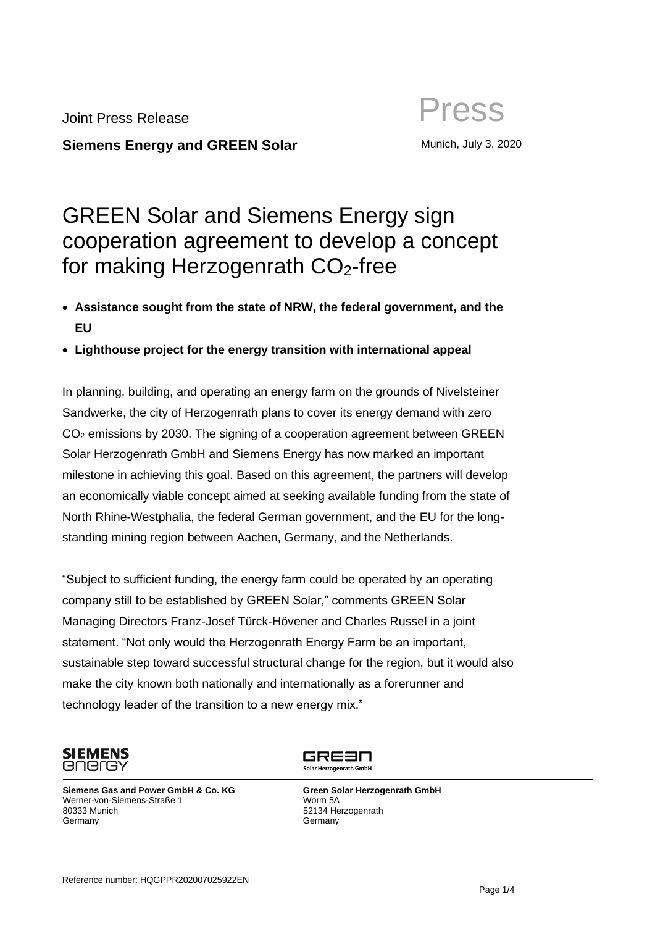**Siemens Energy and GREEN Solar Munich, July 3, 2020** 

## GREEN Solar and Siemens Energy sign cooperation agreement to develop a concept for making Herzogenrath  $CO<sub>2</sub>$ -free

- **Assistance sought from the state of NRW, the federal government, and the EU**
- **Lighthouse project for the energy transition with international appeal**

In planning, building, and operating an energy farm on the grounds of Nivelsteiner Sandwerke, the city of Herzogenrath plans to cover its energy demand with zero CO<sup>2</sup> emissions by 2030. The signing of a cooperation agreement between GREEN Solar Herzogenrath GmbH and Siemens Energy has now marked an important milestone in achieving this goal. Based on this agreement, the partners will develop an economically viable concept aimed at seeking available funding from the state of North Rhine-Westphalia, the federal German government, and the EU for the longstanding mining region between Aachen, Germany, and the Netherlands.

"Subject to sufficient funding, the energy farm could be operated by an operating company still to be established by GREEN Solar," comments GREEN Solar Managing Directors Franz-Josef Türck-Hövener and Charles Russel in a joint statement. "Not only would the Herzogenrath Energy Farm be an important, sustainable step toward successful structural change for the region, but it would also make the city known both nationally and internationally as a forerunner and technology leader of the transition to a new energy mix."



**Siemens Gas and Power GmbH & Co. KG** Werner-von-Siemens-Straße 1 80333 Munich **Germany** 

GRE3N Solar Herzogenrath GmbH

 **Green Solar Herzogenrath GmbH** Worm 5A 52134 Herzogenrath **Germany**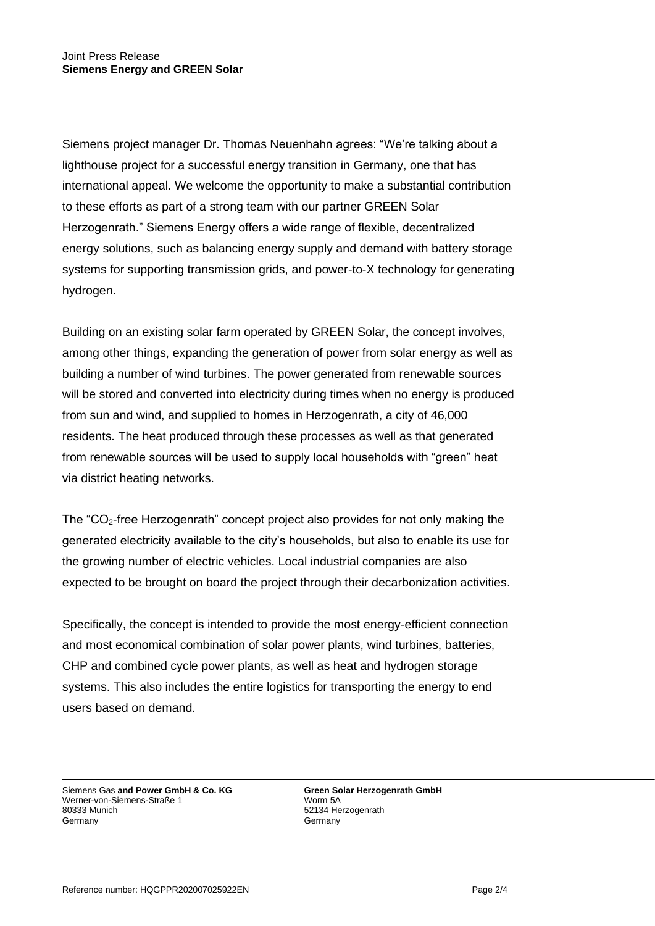Siemens project manager Dr. Thomas Neuenhahn agrees: "We're talking about a lighthouse project for a successful energy transition in Germany, one that has international appeal. We welcome the opportunity to make a substantial contribution to these efforts as part of a strong team with our partner GREEN Solar Herzogenrath." Siemens Energy offers a wide range of flexible, decentralized energy solutions, such as balancing energy supply and demand with battery storage systems for supporting transmission grids, and power-to-X technology for generating hydrogen.

Building on an existing solar farm operated by GREEN Solar, the concept involves, among other things, expanding the generation of power from solar energy as well as building a number of wind turbines. The power generated from renewable sources will be stored and converted into electricity during times when no energy is produced from sun and wind, and supplied to homes in Herzogenrath, a city of 46,000 residents. The heat produced through these processes as well as that generated from renewable sources will be used to supply local households with "green" heat via district heating networks.

The "CO2-free Herzogenrath" concept project also provides for not only making the generated electricity available to the city's households, but also to enable its use for the growing number of electric vehicles. Local industrial companies are also expected to be brought on board the project through their decarbonization activities.

Specifically, the concept is intended to provide the most energy-efficient connection and most economical combination of solar power plants, wind turbines, batteries, CHP and combined cycle power plants, as well as heat and hydrogen storage systems. This also includes the entire logistics for transporting the energy to end users based on demand.

Siemens Gas **and Power GmbH & Co. KG** Werner-von-Siemens-Straße 1 80333 Munich **Germany** 

**Green Solar Herzogenrath GmbH** Worm 5A 52134 Herzogenrath **Germany**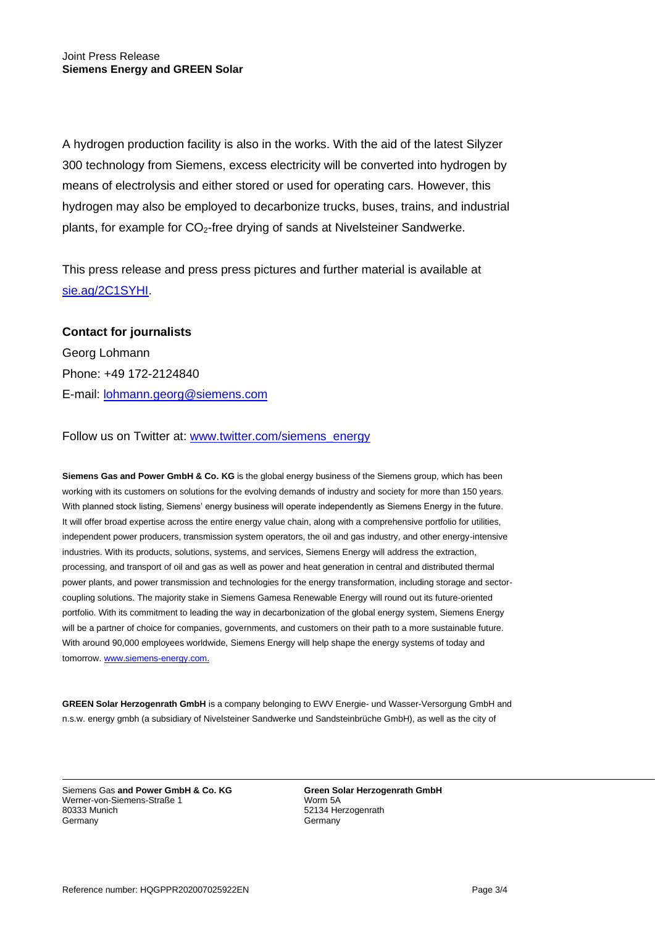A hydrogen production facility is also in the works. With the aid of the latest Silyzer 300 technology from Siemens, excess electricity will be converted into hydrogen by means of electrolysis and either stored or used for operating cars. However, this hydrogen may also be employed to decarbonize trucks, buses, trains, and industrial plants, for example for CO2-free drying of sands at Nivelsteiner Sandwerke.

This press release and press press pictures and further material is available at [sie.ag/2C1SYHI.](https://sie.ag/2C1SYHI)

## **Contact for journalists**

Georg Lohmann Phone: +49 172-2124840 E-mail: [lohmann.georg@siemens.com](mailto:lohmann.georg@siemens.com)

## Follow us on Twitter at: [www.twitter.com/siemens\\_energy](http://www.twitter.com/siemens_energy)

**Siemens Gas and Power GmbH & Co. KG** is the global energy business of the Siemens group, which has been working with its customers on solutions for the evolving demands of industry and society for more than 150 years. With planned stock listing, Siemens' energy business will operate independently as Siemens Energy in the future. It will offer broad expertise across the entire energy value chain, along with a comprehensive portfolio for utilities, independent power producers, transmission system operators, the oil and gas industry, and other energy-intensive industries. With its products, solutions, systems, and services, Siemens Energy will address the extraction, processing, and transport of oil and gas as well as power and heat generation in central and distributed thermal power plants, and power transmission and technologies for the energy transformation, including storage and sectorcoupling solutions. The majority stake in Siemens Gamesa Renewable Energy will round out its future-oriented portfolio. With its commitment to leading the way in decarbonization of the global energy system, Siemens Energy will be a partner of choice for companies, governments, and customers on their path to a more sustainable future. With around 90,000 employees worldwide, Siemens Energy will help shape the energy systems of today and tomorrow. [www.siemens-energy.com.](http://www.siemens-energy.com/)

**GREEN Solar Herzogenrath GmbH** is a company belonging to EWV Energie- und Wasser-Versorgung GmbH and n.s.w. energy gmbh (a subsidiary of Nivelsteiner Sandwerke und Sandsteinbrüche GmbH), as well as the city of

Siemens Gas **and Power GmbH & Co. KG** Werner-von-Siemens-Straße 1 80333 Munich Germany

**Green Solar Herzogenrath GmbH** Worm 5A 52134 Herzogenrath **Germany**